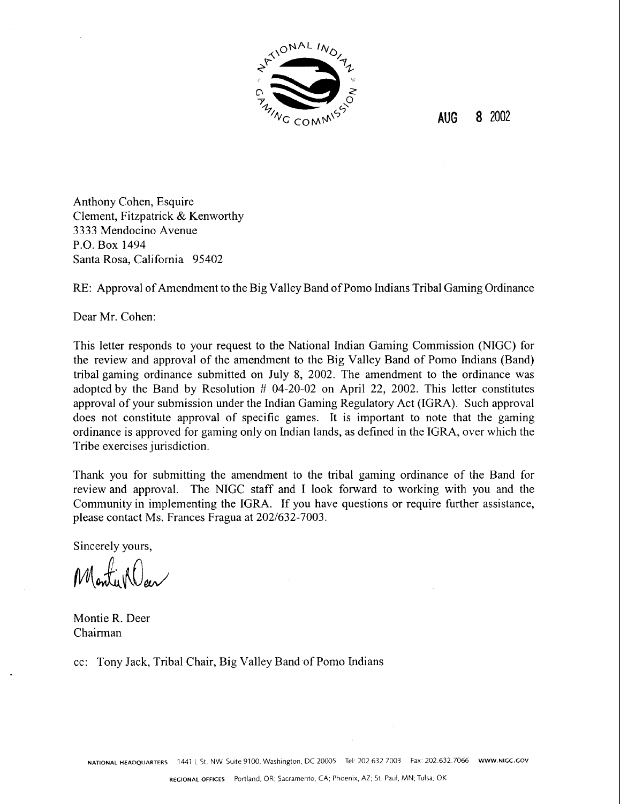

**AUG 8** 2002

Anthony Cohen, Esquire Clement, Fitzpatrick & Kenworthy 3333 Mendocino Avenue P.O. Box 1494 Santa Rosa, California 95402

RE: Approval of Amendment to the Big Valley Band of Pomo Indians Tribal Gaming Ordinance

Dear Mr. Cohen:

This letter responds to your request to the National Indian Gaming Commission (NIGC) for the review and approval of the amendment to the Big Valley Band of Pomo Indians (Band) tribal gaming ordinance submitted on July 8, 2002. The amendment to the ordinance was adopted by the Band by Resolution # 04-20-02 on April 22, 2002. This letter constitutes approval of your submission under the Indian Gaming Regulatory Act (IGRA). Such approval does not constitute approval of specific games. It is important to note that the gaming ordinance is approved for gaming only on Indian lands, as defined in the IGRA, over which the Tribe exercises jurisdiction.

Thank you for submitting the amendment to the tribal gaming ordinance of the Band for review and approval. The NIGC staff and I look forward to working with you and the Community in implementing the IGRA. If you have questions or require further assistance, please contact Ms. Frances Fragua at 202/632-7003.

Sincerely yours,

Monty ROar

Montie R. Deer Chairman

cc: Tony Jack, Tribal Chair, Big Valley Band.of Pomo Lndians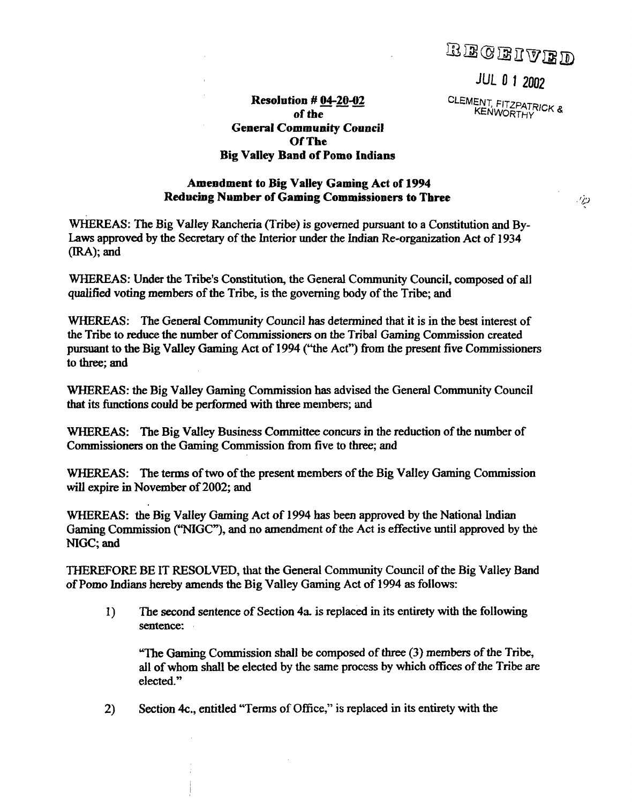BECEIVED

**JUL 0 1 2002** 

CLEMENT, FITZPATRICK **g KENWORTHY** 

- 179

## **Resolution** # **04-20-02 of the General Community Council Of The Big** Valley **Band of Pomo** Indians

## **Amendment to Big** Valley **Gaming Act** of **1994 Reducing Number of Gaming Commissioners to Three**

**WHEREAS:** The Big **Valley** Rancheria (Tribe) is governed pursuant to a Constitution and **By-Laws** approved by the Secretary of the Interior under the Indian Re-organization Act of 1934 (IRA); and

**WHEREAS:** Under the Tribe's Constitution, the General Community Council, composed of all qualified voting members of the Tribe, is the governing body of the Tribe; and

**WHEREAS: The** General Community Council has determined that it is in the best interest of the Tribe to **reduce** the number of Commissioners on the Tribal **Gaming** Commission created pursuant to the Big Valley Gaming Act of 1994 ("the Act") from the present five Commissioners to three; and

**WHEREAS:** the **Big** Valley Gaming Commission has advised the General Community Council that its functions could be performed with three members; and

**WHEREAS:** The **Big** Valley **Business** Committee concurs in the reduction of the number of Commissioners on the Gaming Commission **fiom** five to three; and

**WHEREAS:** The terms of two of the present members of the Big Valley Gaming Commission will expire **in** November of 2002; and

**WHEREAS: the** Big Valley Gaming Act of 1994 has been approved by the National Lndian Gaming Commission ('NIGC"), and no amendment of the Act is effective until approved by the NIGC; and

THEREFORE BE IT RESOLVED, that the General Community Council of the Big Valley Band of Pomo Indians hereby amends the **Big** Valley Gaming Act of 1994 as follows:

**1)** The second sentence of Section **4a** is replaced in its entirety with the following **sentence:** 

"The Gaming Commission shall be composed of three (3) members of the Tribe, all of whom shall be elected by the same process by which offices of the Tribe **are**  elected."

2) Section **4c.,** entitled "Terms of Office," is replaced in its entirety with the